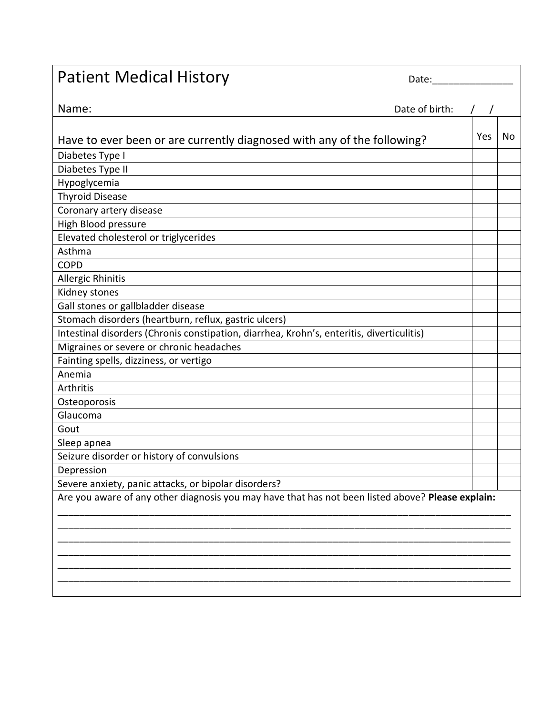| <b>Patient Medical History</b>                                                                    | Date: $\_\_$   |     |    |
|---------------------------------------------------------------------------------------------------|----------------|-----|----|
| Name:                                                                                             | Date of birth: |     |    |
|                                                                                                   |                |     |    |
| Have to ever been or are currently diagnosed with any of the following?                           |                | Yes | No |
| Diabetes Type I                                                                                   |                |     |    |
| Diabetes Type II                                                                                  |                |     |    |
| Hypoglycemia                                                                                      |                |     |    |
| <b>Thyroid Disease</b>                                                                            |                |     |    |
| Coronary artery disease                                                                           |                |     |    |
| High Blood pressure                                                                               |                |     |    |
| Elevated cholesterol or triglycerides                                                             |                |     |    |
| Asthma                                                                                            |                |     |    |
| <b>COPD</b>                                                                                       |                |     |    |
| Allergic Rhinitis                                                                                 |                |     |    |
| Kidney stones                                                                                     |                |     |    |
| Gall stones or gallbladder disease                                                                |                |     |    |
| Stomach disorders (heartburn, reflux, gastric ulcers)                                             |                |     |    |
| Intestinal disorders (Chronis constipation, diarrhea, Krohn's, enteritis, diverticulitis)         |                |     |    |
| Migraines or severe or chronic headaches                                                          |                |     |    |
| Fainting spells, dizziness, or vertigo                                                            |                |     |    |
| Anemia                                                                                            |                |     |    |
| Arthritis                                                                                         |                |     |    |
| Osteoporosis                                                                                      |                |     |    |
| Glaucoma                                                                                          |                |     |    |
| Gout                                                                                              |                |     |    |
| Sleep apnea                                                                                       |                |     |    |
| Seizure disorder or history of convulsions                                                        |                |     |    |
| Depression                                                                                        |                |     |    |
| Severe anxiety, panic attacks, or bipolar disorders?                                              |                |     |    |
| Are you aware of any other diagnosis you may have that has not been listed above? Please explain: |                |     |    |
|                                                                                                   |                |     |    |
|                                                                                                   |                |     |    |
|                                                                                                   |                |     |    |
|                                                                                                   |                |     |    |
|                                                                                                   |                |     |    |
|                                                                                                   |                |     |    |
|                                                                                                   |                |     |    |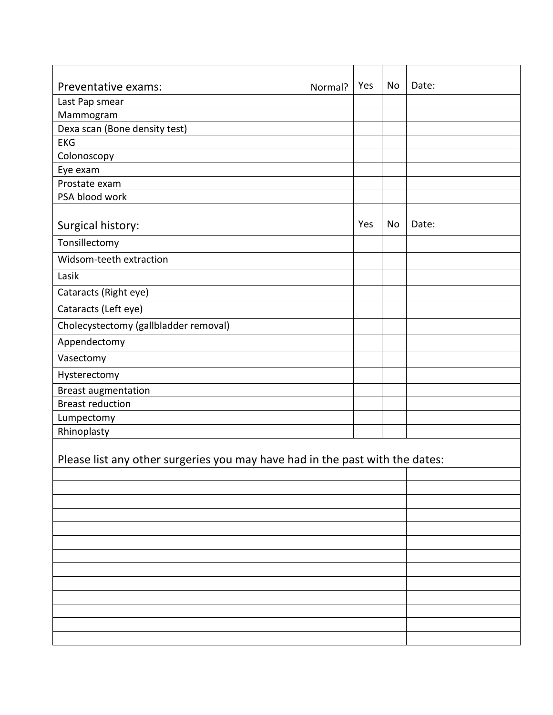| Preventative exams:<br>Normal?                                               | Yes | No | Date: |  |  |
|------------------------------------------------------------------------------|-----|----|-------|--|--|
| Last Pap smear                                                               |     |    |       |  |  |
| Mammogram                                                                    |     |    |       |  |  |
| Dexa scan (Bone density test)<br><b>EKG</b>                                  |     |    |       |  |  |
| Colonoscopy                                                                  |     |    |       |  |  |
| Eye exam                                                                     |     |    |       |  |  |
| Prostate exam                                                                |     |    |       |  |  |
| PSA blood work                                                               |     |    |       |  |  |
|                                                                              |     |    |       |  |  |
| Surgical history:                                                            | Yes | No | Date: |  |  |
| Tonsillectomy                                                                |     |    |       |  |  |
| Widsom-teeth extraction                                                      |     |    |       |  |  |
| Lasik                                                                        |     |    |       |  |  |
| Cataracts (Right eye)                                                        |     |    |       |  |  |
| Cataracts (Left eye)                                                         |     |    |       |  |  |
| Cholecystectomy (gallbladder removal)                                        |     |    |       |  |  |
| Appendectomy                                                                 |     |    |       |  |  |
| Vasectomy                                                                    |     |    |       |  |  |
| Hysterectomy                                                                 |     |    |       |  |  |
| <b>Breast augmentation</b>                                                   |     |    |       |  |  |
| <b>Breast reduction</b>                                                      |     |    |       |  |  |
| Lumpectomy                                                                   |     |    |       |  |  |
| Rhinoplasty                                                                  |     |    |       |  |  |
| Please list any other surgeries you may have had in the past with the dates: |     |    |       |  |  |
|                                                                              |     |    |       |  |  |
|                                                                              |     |    |       |  |  |
|                                                                              |     |    |       |  |  |
|                                                                              |     |    |       |  |  |
|                                                                              |     |    |       |  |  |
|                                                                              |     |    |       |  |  |
|                                                                              |     |    |       |  |  |
|                                                                              |     |    |       |  |  |
|                                                                              |     |    |       |  |  |
|                                                                              |     |    |       |  |  |
|                                                                              |     |    |       |  |  |
|                                                                              |     |    |       |  |  |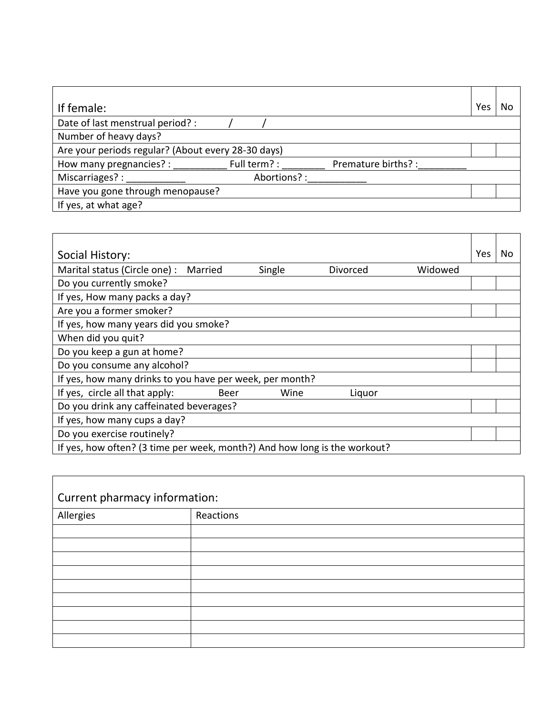| If female:                                         |              |                     | Yes | No |
|----------------------------------------------------|--------------|---------------------|-----|----|
| Date of last menstrual period? :                   |              |                     |     |    |
| Number of heavy days?                              |              |                     |     |    |
| Are your periods regular? (About every 28-30 days) |              |                     |     |    |
| How many pregnancies? :                            | Full term? : | Premature births? : |     |    |
| Miscarriages? :                                    | Abortions?:  |                     |     |    |
| Have you gone through menopause?                   |              |                     |     |    |
| If yes, at what age?                               |              |                     |     |    |

| Social History:                                                           |        |          |         | Yes | No |
|---------------------------------------------------------------------------|--------|----------|---------|-----|----|
| Marital status (Circle one) :<br>Married                                  | Single | Divorced | Widowed |     |    |
| Do you currently smoke?                                                   |        |          |         |     |    |
| If yes, How many packs a day?                                             |        |          |         |     |    |
| Are you a former smoker?                                                  |        |          |         |     |    |
| If yes, how many years did you smoke?                                     |        |          |         |     |    |
| When did you quit?                                                        |        |          |         |     |    |
| Do you keep a gun at home?                                                |        |          |         |     |    |
| Do you consume any alcohol?                                               |        |          |         |     |    |
| If yes, how many drinks to you have per week, per month?                  |        |          |         |     |    |
| If yes, circle all that apply:<br><b>Beer</b>                             | Wine   | Liquor   |         |     |    |
| Do you drink any caffeinated beverages?                                   |        |          |         |     |    |
| If yes, how many cups a day?                                              |        |          |         |     |    |
| Do you exercise routinely?                                                |        |          |         |     |    |
| If yes, how often? (3 time per week, month?) And how long is the workout? |        |          |         |     |    |

| Current pharmacy information: |           |  |  |
|-------------------------------|-----------|--|--|
| Allergies                     | Reactions |  |  |
|                               |           |  |  |
|                               |           |  |  |
|                               |           |  |  |
|                               |           |  |  |
|                               |           |  |  |
|                               |           |  |  |
|                               |           |  |  |
|                               |           |  |  |
|                               |           |  |  |